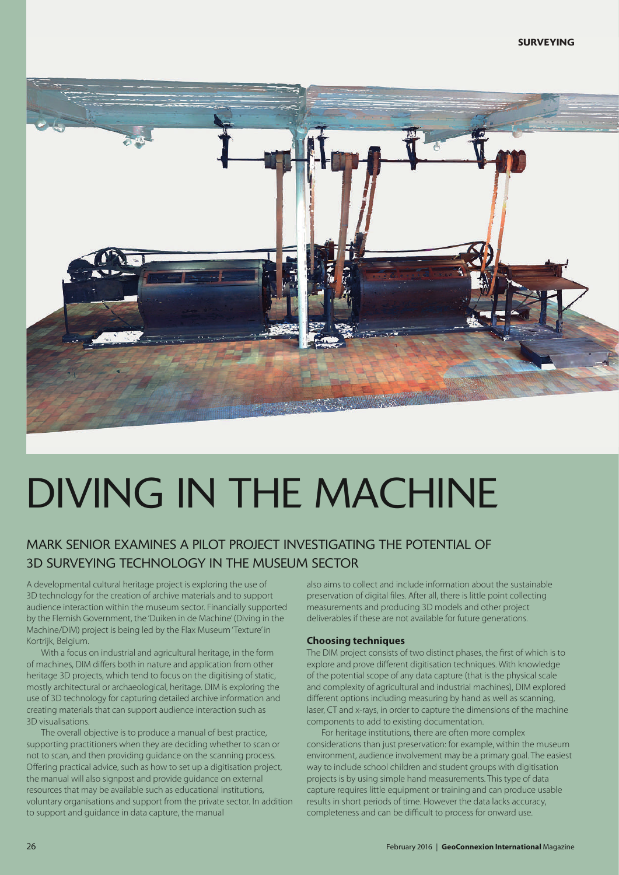

## DIVING IN THE MACHINE

## MARK SENIOR EXAMINES A PILOT PROJECT INVESTIGATING THE POTENTIAL OF 3D SURVEYING TECHNOLOGY IN THE MUSEUM SECTOR

A developmental cultural heritage project is exploring the use of 3D technology for the creation of archive materials and to support audience interaction within the museum sector. Financially supported by the Flemish Government, the 'Duiken in de Machine'(Diving in the Machine/DIM) project is being led by the Flax Museum'Texture' in Kortrijk, Belgium.

With a focus on industrial and agricultural heritage, in the form of machines, DIM differs both in nature and application from other heritage 3D projects, which tend to focus on the digitising of static, mostly architectural or archaeological, heritage. DIM is exploring the use of 3D technology for capturing detailed archive information and creating materials that can support audience interaction such as 3D visualisations.

The overall objective is to produce a manual of best practice, supporting practitioners when they are deciding whether to scan or not to scan, and then providing guidance on the scanning process. Offering practical advice, such as how to set up a digitisation project, the manual will also signpost and provide guidance on external resources that may be available such as educational institutions, voluntary organisations and support from the private sector. In addition to support and guidance in data capture, the manual

also aims to collect and include information about the sustainable preservation of digital files. After all, there is little point collecting measurements and producing 3D models and other project deliverables if these are not available for future generations.

## **Choosing techniques**

The DIM project consists of two distinct phases, the first of which is to explore and prove different digitisation techniques. With knowledge of the potential scope of any data capture (that is the physical scale and complexity of agricultural and industrial machines), DIM explored different options including measuring by hand as well as scanning, laser, CT and x-rays, in order to capture the dimensions of the machine components to add to existing documentation.

For heritage institutions, there are often more complex considerations than just preservation: for example, within the museum environment, audience involvement may be a primary goal. The easiest way to include school children and student groups with digitisation projects is by using simple hand measurements. This type of data capture requires little equipment or training and can produce usable results in short periods of time. However the data lacks accuracy, completeness and can be difficult to process for onward use.